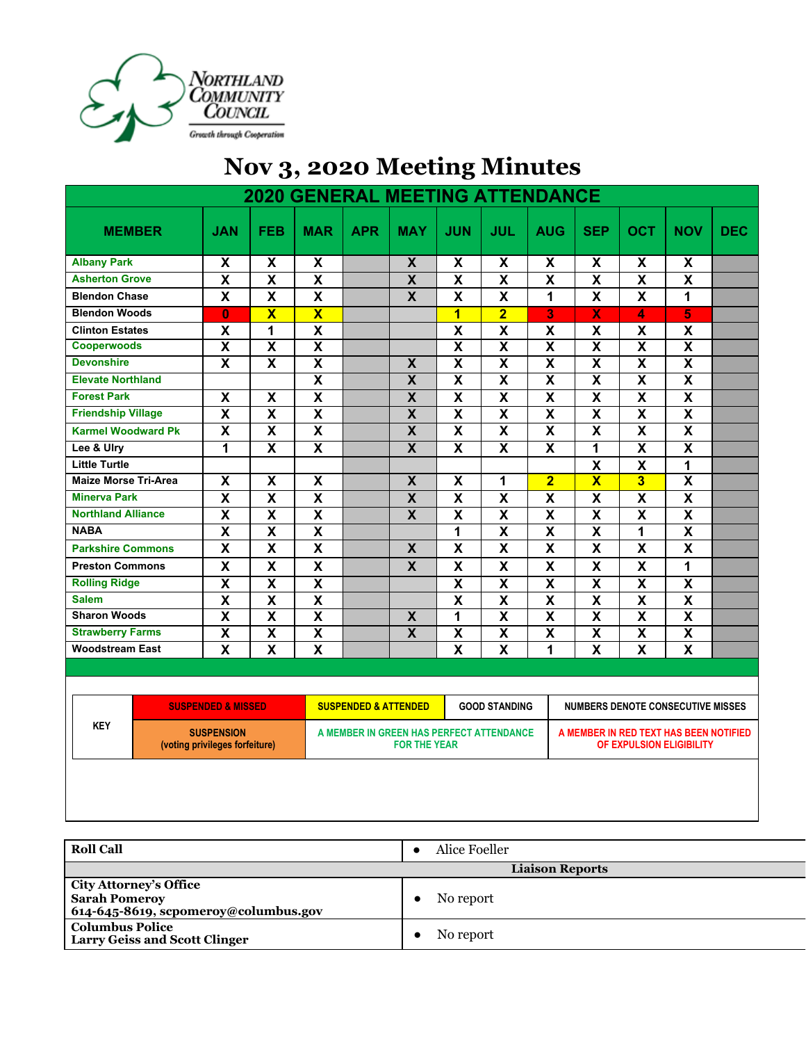

## **Nov 3, 2020 Meeting Minutes**

| <b>2020 GENERAL MEETING ATTENDANCE</b>                            |                               |                           |                                                                 |                                                                                                     |                           |                         |                           |                                                                    |                         |                           |                           |            |
|-------------------------------------------------------------------|-------------------------------|---------------------------|-----------------------------------------------------------------|-----------------------------------------------------------------------------------------------------|---------------------------|-------------------------|---------------------------|--------------------------------------------------------------------|-------------------------|---------------------------|---------------------------|------------|
| <b>MEMBER</b>                                                     | <b>JAN</b>                    | <b>FEB</b>                | <b>MAR</b>                                                      | <b>APR</b>                                                                                          | <b>MAY</b>                | <b>JUN</b>              | <b>JUL</b>                | <b>AUG</b>                                                         | <b>SEP</b>              | <b>OCT</b>                | <b>NOV</b>                | <b>DEC</b> |
| <b>Albany Park</b>                                                | $\pmb{\mathsf{X}}$            | X                         | X                                                               |                                                                                                     | $\overline{\mathbf{X}}$   | X                       | $\pmb{\mathsf{X}}$        | $\boldsymbol{\mathsf{X}}$                                          | $\pmb{\mathsf{X}}$      | X                         | X                         |            |
| <b>Asherton Grove</b>                                             | $\pmb{\mathsf{X}}$            | X                         | $\overline{\mathbf{X}}$                                         |                                                                                                     | $\overline{\mathbf{X}}$   | X                       | $\overline{\mathbf{X}}$   | $\pmb{\mathsf{X}}$                                                 | $\overline{\mathbf{X}}$ | $\pmb{\mathsf{X}}$        | $\boldsymbol{\mathsf{X}}$ |            |
| <b>Blendon Chase</b>                                              | $\overline{\mathbf{X}}$       | $\overline{\mathbf{X}}$   | $\overline{\mathbf{X}}$                                         |                                                                                                     | $\overline{\mathbf{x}}$   | X                       | $\overline{\mathbf{x}}$   | 1                                                                  | $\overline{\mathbf{x}}$ | $\overline{\mathbf{X}}$   | $\mathbf{1}$              |            |
| <b>Blendon Woods</b>                                              | $\overline{0}$                | $\overline{\textbf{X}}$   | $\overline{\textbf{X}}$                                         |                                                                                                     |                           | $\overline{\mathbf{1}}$ | $\overline{2}$            | $\overline{\mathbf{3}}$                                            | $\overline{\textbf{X}}$ | 4                         | 5                         |            |
| <b>Clinton Estates</b>                                            | $\pmb{\mathsf{X}}$            | 1                         | X                                                               |                                                                                                     |                           | X                       | $\boldsymbol{\mathsf{X}}$ | X                                                                  | $\mathbf x$             | $\boldsymbol{\mathsf{x}}$ | $\pmb{\mathsf{X}}$        |            |
| <b>Cooperwoods</b>                                                | $\overline{\mathbf{x}}$       | $\overline{\mathbf{X}}$   | $\overline{\textsf{x}}$                                         |                                                                                                     |                           | $\overline{\mathsf{x}}$ | $\overline{\mathsf{x}}$   | $\overline{\mathbf{x}}$                                            | $\overline{\mathsf{x}}$ | $\overline{\mathsf{x}}$   | $\overline{\mathsf{x}}$   |            |
| <b>Devonshire</b>                                                 | $\overline{\mathbf{x}}$       | $\overline{\mathbf{x}}$   | $\overline{\mathbf{X}}$                                         |                                                                                                     | $\overline{\mathbf{X}}$   | $\overline{\textbf{x}}$ | $\overline{\mathbf{X}}$   | $\overline{\mathbf{X}}$                                            | $\overline{\mathbf{X}}$ | $\overline{\mathbf{x}}$   | $\overline{\mathbf{x}}$   |            |
| <b>Elevate Northland</b>                                          |                               |                           | $\overline{\mathbf{X}}$                                         |                                                                                                     | $\overline{\mathbf{X}}$   | $\overline{\mathbf{X}}$ | $\overline{\mathbf{x}}$   | $\overline{\mathbf{X}}$                                            | $\overline{\mathbf{X}}$ | $\overline{\mathbf{X}}$   | $\overline{\mathbf{X}}$   |            |
| <b>Forest Park</b>                                                | $\overline{\mathbf{x}}$       | $\overline{\mathbf{X}}$   | $\overline{\textbf{x}}$                                         |                                                                                                     | $\overline{\mathbf{X}}$   | $\overline{\textbf{x}}$ | $\overline{\mathbf{x}}$   | $\overline{\mathbf{x}}$                                            | $\overline{\mathbf{x}}$ | $\overline{\mathbf{x}}$   | $\overline{\mathbf{x}}$   |            |
| <b>Friendship Village</b>                                         | $\overline{\mathbf{x}}$       | $\overline{\mathbf{X}}$   | $\overline{\mathbf{X}}$                                         |                                                                                                     | $\overline{\mathbf{X}}$   | $\overline{\textbf{x}}$ | $\overline{\mathbf{x}}$   | $\overline{\mathbf{x}}$                                            | $\overline{\mathbf{x}}$ | $\overline{\mathbf{x}}$   | $\overline{\mathbf{x}}$   |            |
| <b>Karmel Woodward Pk</b>                                         | $\overline{\mathbf{x}}$       | $\overline{\mathbf{X}}$   | $\overline{\mathbf{X}}$                                         |                                                                                                     | $\overline{\mathbf{X}}$   | $\overline{\mathbf{X}}$ | $\overline{\mathbf{x}}$   | $\overline{\mathbf{X}}$                                            | $\overline{\mathbf{x}}$ | $\overline{\mathbf{x}}$   | $\overline{\mathbf{x}}$   |            |
| Lee & Ulry                                                        | 1                             | $\overline{\mathsf{x}}$   | $\overline{\textbf{x}}$                                         |                                                                                                     | $\overline{\mathbf{x}}$   | $\overline{\mathsf{x}}$ | $\overline{\mathbf{x}}$   | $\overline{\mathbf{x}}$                                            | 1                       | $\overline{\mathbf{x}}$   | $\overline{\mathbf{X}}$   |            |
| <b>Little Turtle</b>                                              |                               |                           |                                                                 |                                                                                                     |                           |                         |                           |                                                                    | $\mathsf{X}$            | $\mathsf{\overline{X}}$   | $\mathbf{1}$              |            |
| <b>Maize Morse Tri-Area</b>                                       | $\boldsymbol{\mathsf{x}}$     | X                         | $\overline{\mathsf{x}}$                                         |                                                                                                     | $\overline{\mathbf{X}}$   | X                       | $\mathbf 1$               | $\overline{\mathbf{2}}$                                            | $\overline{\mathbf{X}}$ | $\overline{3}$            | $\overline{\mathbf{x}}$   |            |
| <b>Minerva Park</b>                                               | $\overline{\mathbf{x}}$       | $\overline{\mathbf{X}}$   | $\overline{\mathbf{X}}$                                         |                                                                                                     | $\overline{\mathbf{X}}$   | $\overline{\mathbf{X}}$ | $\overline{\mathbf{x}}$   | $\overline{\mathbf{X}}$                                            | $\overline{\mathbf{x}}$ | $\overline{\mathbf{x}}$   | $\overline{\mathbf{x}}$   |            |
| <b>Northland Alliance</b>                                         | $\overline{\mathbf{x}}$       | $\overline{\mathbf{X}}$   | $\overline{\mathbf{X}}$                                         |                                                                                                     | $\overline{\mathbf{X}}$   | $\overline{\mathbf{X}}$ | $\overline{\mathbf{x}}$   | $\overline{\mathbf{X}}$                                            | $\overline{\mathbf{x}}$ | $\overline{\mathbf{X}}$   | $\overline{\mathbf{x}}$   |            |
| <b>NABA</b>                                                       | $\overline{\mathbf{X}}$       | $\overline{\mathbf{X}}$   | $\overline{\mathbf{X}}$                                         |                                                                                                     |                           | 1                       | $\overline{\mathbf{X}}$   | $\overline{\mathbf{X}}$                                            | $\overline{\mathbf{x}}$ | 1                         | $\overline{\mathbf{x}}$   |            |
| <b>Parkshire Commons</b>                                          | $\mathsf{x}$                  | X                         | $\overline{\mathbf{x}}$                                         |                                                                                                     | $\boldsymbol{\mathsf{X}}$ | X                       | $\boldsymbol{\mathsf{x}}$ | $\mathbf x$                                                        | X                       | $\boldsymbol{\mathsf{x}}$ | $\boldsymbol{\mathsf{x}}$ |            |
| <b>Preston Commons</b>                                            | $\mathsf{x}$                  | $\mathsf{X}$              | X                                                               |                                                                                                     | $\mathbf{x}$              | X                       | $\boldsymbol{\mathsf{x}}$ | $\mathbf x$                                                        | $\mathbf{x}$            | $\mathbf x$               | $\mathbf{1}$              |            |
| <b>Rolling Ridge</b>                                              | $\overline{\mathbf{X}}$       | $\overline{\mathbf{X}}$   | $\overline{\mathbf{X}}$                                         |                                                                                                     |                           | $\overline{\mathbf{X}}$ | $\overline{\mathbf{x}}$   | $\overline{\mathbf{X}}$                                            | $\overline{\mathbf{X}}$ | $\overline{\mathbf{X}}$   | $\overline{\mathbf{x}}$   |            |
| <b>Salem</b>                                                      | $\pmb{\mathsf{X}}$            | $\pmb{\mathsf{X}}$        | X                                                               |                                                                                                     |                           | X                       | $\mathbf x$               | $\pmb{\mathsf{X}}$                                                 | $\mathsf{X}$            | $\pmb{\mathsf{X}}$        | $\pmb{\mathsf{X}}$        |            |
| <b>Sharon Woods</b>                                               | $\overline{\mathbf{x}}$       | $\overline{\mathbf{x}}$   | $\overline{\mathbf{X}}$                                         |                                                                                                     | $\boldsymbol{\mathsf{X}}$ | 1                       | $\overline{\mathbf{x}}$   | $\overline{\mathbf{X}}$                                            | $\overline{\mathbf{x}}$ | $\overline{\mathbf{X}}$   | $\overline{\mathbf{x}}$   |            |
| <b>Strawberry Farms</b>                                           | $\pmb{\mathsf{X}}$            | $\overline{\mathbf{X}}$   | $\overline{\mathbf{X}}$                                         |                                                                                                     | $\overline{\mathbf{X}}$   | X                       | $\overline{\mathbf{X}}$   | $\overline{\mathbf{X}}$                                            | $\overline{\mathbf{X}}$ | $\pmb{\mathsf{X}}$        | $\overline{\mathbf{X}}$   |            |
| <b>Woodstream East</b>                                            | $\boldsymbol{\mathsf{x}}$     | $\boldsymbol{\mathsf{x}}$ | $\overline{\mathbf{X}}$                                         |                                                                                                     |                           | X                       | $\boldsymbol{\mathsf{x}}$ | 1                                                                  | $\mathsf{x}$            | $\boldsymbol{\mathsf{x}}$ | $\boldsymbol{\mathsf{x}}$ |            |
|                                                                   |                               |                           |                                                                 |                                                                                                     |                           |                         |                           |                                                                    |                         |                           |                           |            |
|                                                                   |                               |                           |                                                                 |                                                                                                     |                           |                         |                           |                                                                    |                         |                           |                           |            |
|                                                                   | <b>SUSPENDED &amp; MISSED</b> |                           |                                                                 | <b>SUSPENDED &amp; ATTENDED</b><br><b>GOOD STANDING</b><br><b>NUMBERS DENOTE CONSECUTIVE MISSES</b> |                           |                         |                           |                                                                    |                         |                           |                           |            |
| <b>KEY</b><br><b>SUSPENSION</b><br>(voting privileges forfeiture) |                               |                           | A MEMBER IN GREEN HAS PERFECT ATTENDANCE<br><b>FOR THE YEAR</b> |                                                                                                     |                           |                         |                           | A MEMBER IN RED TEXT HAS BEEN NOTIFIED<br>OF EXPULSION ELIGIBILITY |                         |                           |                           |            |
|                                                                   |                               |                           |                                                                 |                                                                                                     |                           |                         |                           |                                                                    |                         |                           |                           |            |

| <b>Roll Call</b>                                                                              | Alice Foeller          |
|-----------------------------------------------------------------------------------------------|------------------------|
|                                                                                               | <b>Liaison Reports</b> |
| <b>City Attorney's Office</b><br><b>Sarah Pomeroy</b><br>614-645-8619, scpomeroy@columbus.gov | No report              |
| <b>Columbus Police</b><br><b>Larry Geiss and Scott Clinger</b>                                | No report              |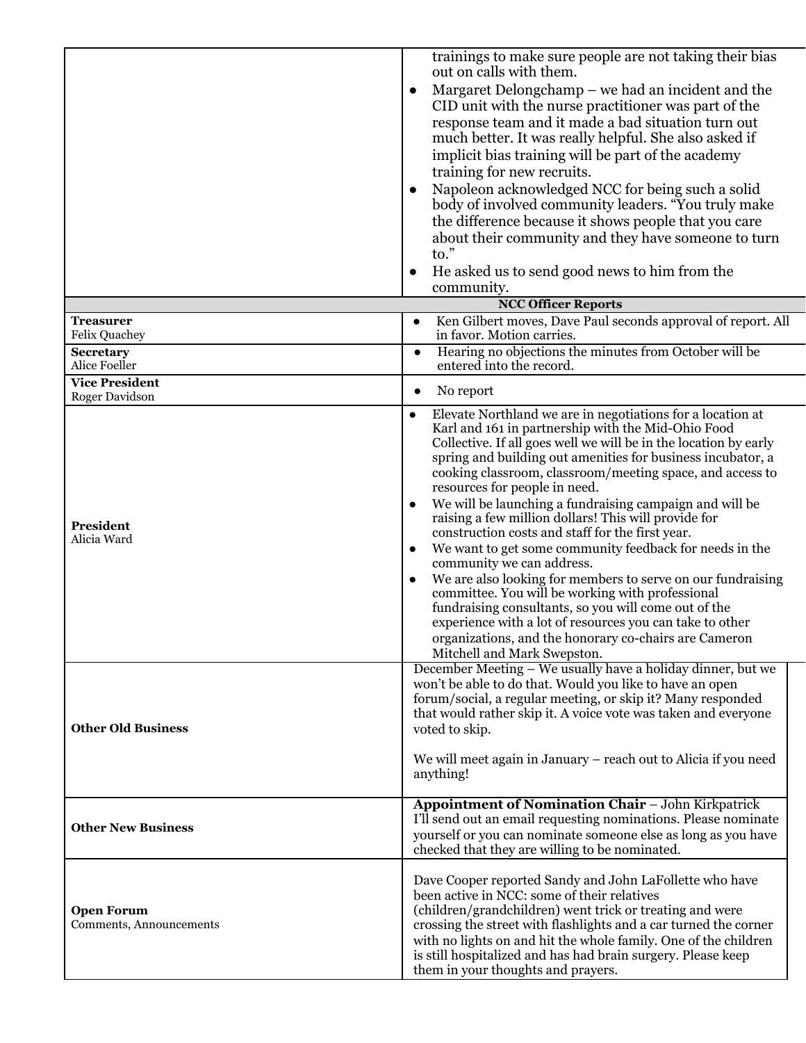|                                              | trainings to make sure people are not taking their bias<br>out on calls with them.<br>Margaret Delongchamp – we had an incident and the<br>$\bullet$<br>CID unit with the nurse practitioner was part of the<br>response team and it made a bad situation turn out<br>much better. It was really helpful. She also asked if<br>implicit bias training will be part of the academy<br>training for new recruits.<br>Napoleon acknowledged NCC for being such a solid<br>body of involved community leaders. "You truly make<br>the difference because it shows people that you care<br>about their community and they have someone to turn<br>$\mathsf{to."}$<br>He asked us to send good news to him from the<br>$\bullet$<br>community.                                                                                                                                                                                                                          |
|----------------------------------------------|-------------------------------------------------------------------------------------------------------------------------------------------------------------------------------------------------------------------------------------------------------------------------------------------------------------------------------------------------------------------------------------------------------------------------------------------------------------------------------------------------------------------------------------------------------------------------------------------------------------------------------------------------------------------------------------------------------------------------------------------------------------------------------------------------------------------------------------------------------------------------------------------------------------------------------------------------------------------|
|                                              | <b>NCC Officer Reports</b>                                                                                                                                                                                                                                                                                                                                                                                                                                                                                                                                                                                                                                                                                                                                                                                                                                                                                                                                        |
| <b>Treasurer</b><br>Felix Quachey            | Ken Gilbert moves, Dave Paul seconds approval of report. All<br>$\bullet$<br>in favor. Motion carries.                                                                                                                                                                                                                                                                                                                                                                                                                                                                                                                                                                                                                                                                                                                                                                                                                                                            |
| <b>Secretary</b><br>Alice Foeller            | Hearing no objections the minutes from October will be<br>$\bullet$<br>entered into the record.                                                                                                                                                                                                                                                                                                                                                                                                                                                                                                                                                                                                                                                                                                                                                                                                                                                                   |
| <b>Vice President</b><br>Roger Davidson      | No report                                                                                                                                                                                                                                                                                                                                                                                                                                                                                                                                                                                                                                                                                                                                                                                                                                                                                                                                                         |
| President<br>Alicia Ward                     | Elevate Northland we are in negotiations for a location at<br>$\bullet$<br>Karl and 161 in partnership with the Mid-Ohio Food<br>Collective. If all goes well we will be in the location by early<br>spring and building out amenities for business incubator, a<br>cooking classroom, classroom/meeting space, and access to<br>resources for people in need.<br>We will be launching a fundraising campaign and will be<br>raising a few million dollars! This will provide for<br>construction costs and staff for the first year.<br>We want to get some community feedback for needs in the<br>٠<br>community we can address.<br>We are also looking for members to serve on our fundraising<br>committee. You will be working with professional<br>fundraising consultants, so you will come out of the<br>experience with a lot of resources you can take to other<br>organizations, and the honorary co-chairs are Cameron<br>Mitchell and Mark Swepston. |
| <b>Other Old Business</b>                    | December Meeting – We usually have a holiday dinner, but we<br>won't be able to do that. Would you like to have an open<br>forum/social, a regular meeting, or skip it? Many responded<br>that would rather skip it. A voice vote was taken and everyone<br>voted to skip.<br>We will meet again in January – reach out to Alicia if you need<br>anything!                                                                                                                                                                                                                                                                                                                                                                                                                                                                                                                                                                                                        |
| <b>Other New Business</b>                    | <b>Appointment of Nomination Chair - John Kirkpatrick</b><br>I'll send out an email requesting nominations. Please nominate<br>yourself or you can nominate someone else as long as you have<br>checked that they are willing to be nominated.                                                                                                                                                                                                                                                                                                                                                                                                                                                                                                                                                                                                                                                                                                                    |
| <b>Open Forum</b><br>Comments, Announcements | Dave Cooper reported Sandy and John LaFollette who have<br>been active in NCC: some of their relatives<br>(children/grandchildren) went trick or treating and were<br>crossing the street with flashlights and a car turned the corner<br>with no lights on and hit the whole family. One of the children<br>is still hospitalized and has had brain surgery. Please keep<br>them in your thoughts and prayers.                                                                                                                                                                                                                                                                                                                                                                                                                                                                                                                                                   |